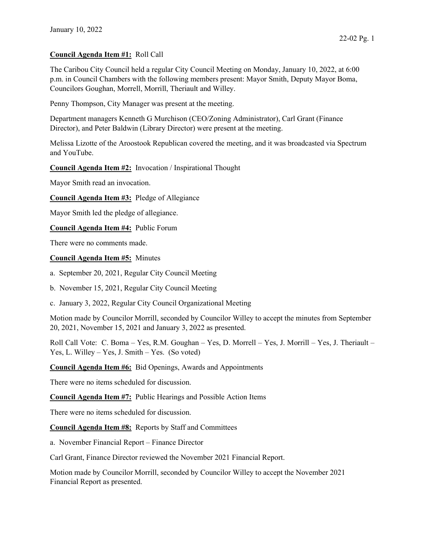## Council Agenda Item #1: Roll Call

The Caribou City Council held a regular City Council Meeting on Monday, January 10, 2022, at 6:00 p.m. in Council Chambers with the following members present: Mayor Smith, Deputy Mayor Boma, Councilors Goughan, Morrell, Morrill, Theriault and Willey.

Penny Thompson, City Manager was present at the meeting.

Department managers Kenneth G Murchison (CEO/Zoning Administrator), Carl Grant (Finance Director), and Peter Baldwin (Library Director) were present at the meeting.

Melissa Lizotte of the Aroostook Republican covered the meeting, and it was broadcasted via Spectrum and YouTube.

### Council Agenda Item #2: Invocation / Inspirational Thought

Mayor Smith read an invocation.

Council Agenda Item #3: Pledge of Allegiance

Mayor Smith led the pledge of allegiance.

Council Agenda Item #4: Public Forum

There were no comments made.

#### Council Agenda Item #5: Minutes

a. September 20, 2021, Regular City Council Meeting

b. November 15, 2021, Regular City Council Meeting

c. January 3, 2022, Regular City Council Organizational Meeting

Motion made by Councilor Morrill, seconded by Councilor Willey to accept the minutes from September 20, 2021, November 15, 2021 and January 3, 2022 as presented.

Roll Call Vote: C. Boma – Yes, R.M. Goughan – Yes, D. Morrell – Yes, J. Morrill – Yes, J. Theriault – Yes, L. Willey – Yes, J. Smith – Yes. (So voted)

Council Agenda Item #6: Bid Openings, Awards and Appointments

There were no items scheduled for discussion.

Council Agenda Item #7: Public Hearings and Possible Action Items

There were no items scheduled for discussion.

Council Agenda Item #8: Reports by Staff and Committees

a. November Financial Report – Finance Director

Carl Grant, Finance Director reviewed the November 2021 Financial Report.

Motion made by Councilor Morrill, seconded by Councilor Willey to accept the November 2021 Financial Report as presented.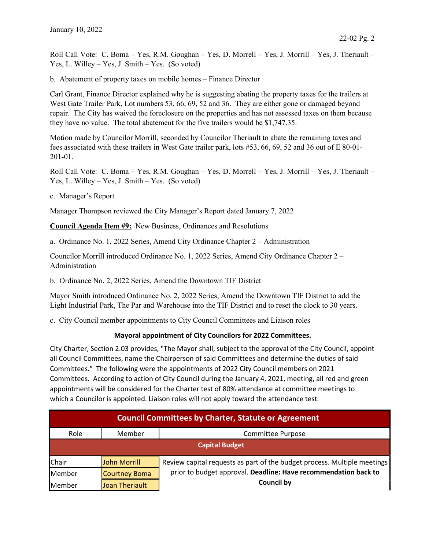Roll Call Vote: C. Boma – Yes, R.M. Goughan – Yes, D. Morrell – Yes, J. Morrill – Yes, J. Theriault – Yes, L. Willey – Yes, J. Smith – Yes. (So voted)

b. Abatement of property taxes on mobile homes – Finance Director

Carl Grant, Finance Director explained why he is suggesting abating the property taxes for the trailers at West Gate Trailer Park, Lot numbers 53, 66, 69, 52 and 36. They are either gone or damaged beyond repair. The City has waived the foreclosure on the properties and has not assessed taxes on them because they have no value. The total abatement for the five trailers would be \$1,747.35.

Motion made by Councilor Morrill, seconded by Councilor Theriault to abate the remaining taxes and fees associated with these trailers in West Gate trailer park, lots #53, 66, 69, 52 and 36 out of E 80-01- 201-01.

Roll Call Vote: C. Boma – Yes, R.M. Goughan – Yes, D. Morrell – Yes, J. Morrill – Yes, J. Theriault – Yes, L. Willey – Yes, J. Smith – Yes. (So voted)

c. Manager's Report

Manager Thompson reviewed the City Manager's Report dated January 7, 2022

Council Agenda Item #9: New Business, Ordinances and Resolutions

a. Ordinance No. 1, 2022 Series, Amend City Ordinance Chapter 2 – Administration

Councilor Morrill introduced Ordinance No. 1, 2022 Series, Amend City Ordinance Chapter 2 – Administration

b. Ordinance No. 2, 2022 Series, Amend the Downtown TIF District

Mayor Smith introduced Ordinance No. 2, 2022 Series, Amend the Downtown TIF District to add the Light Industrial Park, The Par and Warehouse into the TIF District and to reset the clock to 30 years.

c. City Council member appointments to City Council Committees and Liaison roles

# Mayoral appointment of City Councilors for 2022 Committees.

City Charter, Section 2.03 provides, "The Mayor shall, subject to the approval of the City Council, appoint all Council Committees, name the Chairperson of said Committees and determine the duties of said Committees." The following were the appointments of 2022 City Council members on 2021 Committees. According to action of City Council during the January 4, 2021, meeting, all red and green appointments will be considered for the Charter test of 80% attendance at committee meetings to which a Councilor is appointed. Liaison roles will not apply toward the attendance test.

| <b>Council Committees by Charter, Statute or Agreement</b> |                |                                                                                      |  |
|------------------------------------------------------------|----------------|--------------------------------------------------------------------------------------|--|
| Role                                                       | Member         | Committee Purpose                                                                    |  |
| <b>Capital Budget</b>                                      |                |                                                                                      |  |
| Chair                                                      | John Morrill   | Review capital requests as part of the budget process. Multiple meetings             |  |
| Member                                                     | Courtney Boma  | prior to budget approval. Deadline: Have recommendation back to<br><b>Council by</b> |  |
| Member                                                     | Joan Theriault |                                                                                      |  |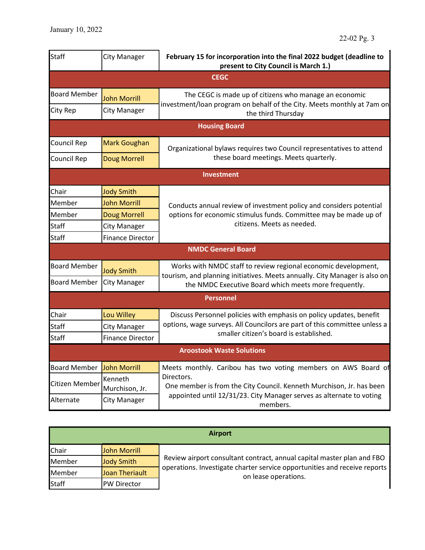| <b>Staff</b>        | <b>City Manager</b>       | February 15 for incorporation into the final 2022 budget (deadline to<br>present to City Council is March 1.)                                |
|---------------------|---------------------------|----------------------------------------------------------------------------------------------------------------------------------------------|
|                     |                           | <b>CEGC</b>                                                                                                                                  |
| <b>Board Member</b> | <b>John Morrill</b>       | The CEGC is made up of citizens who manage an economic                                                                                       |
| City Rep            | <b>City Manager</b>       | investment/loan program on behalf of the City. Meets monthly at 7am on<br>the third Thursday                                                 |
|                     |                           | <b>Housing Board</b>                                                                                                                         |
| Council Rep         | Mark Goughan              | Organizational bylaws requires two Council representatives to attend                                                                         |
| Council Rep         | <b>Doug Morrell</b>       | these board meetings. Meets quarterly.                                                                                                       |
|                     |                           | <b>Investment</b>                                                                                                                            |
| Chair               | <b>Jody Smith</b>         |                                                                                                                                              |
| Member              | <b>John Morrill</b>       | Conducts annual review of investment policy and considers potential                                                                          |
| Member              | <b>Doug Morrell</b>       | options for economic stimulus funds. Committee may be made up of                                                                             |
| <b>Staff</b>        | <b>City Manager</b>       | citizens. Meets as needed.                                                                                                                   |
| Staff               | <b>Finance Director</b>   |                                                                                                                                              |
|                     |                           | <b>NMDC General Board</b>                                                                                                                    |
| <b>Board Member</b> | <b>Jody Smith</b>         | Works with NMDC staff to review regional economic development,<br>tourism, and planning initiatives. Meets annually. City Manager is also on |
| <b>Board Member</b> | <b>City Manager</b>       | the NMDC Executive Board which meets more frequently.                                                                                        |
|                     |                           | <b>Personnel</b>                                                                                                                             |
| Chair               | Lou Willey                | Discuss Personnel policies with emphasis on policy updates, benefit                                                                          |
| <b>Staff</b>        | <b>City Manager</b>       | options, wage surveys. All Councilors are part of this committee unless a                                                                    |
| <b>Staff</b>        | <b>Finance Director</b>   | smaller citizen's board is established.                                                                                                      |
|                     |                           | <b>Aroostook Waste Solutions</b>                                                                                                             |
| <b>Board Member</b> | John Morrill              | Meets monthly. Caribou has two voting members on AWS Board of                                                                                |
| Citizen Member      | Kenneth<br>Murchison, Jr. | Directors.<br>One member is from the City Council. Kenneth Murchison, Jr. has been                                                           |
| Alternate           | <b>City Manager</b>       | appointed until 12/31/23. City Manager serves as alternate to voting<br>members.                                                             |

| <b>Airport</b> |                    |                                                                                                                                                                             |  |
|----------------|--------------------|-----------------------------------------------------------------------------------------------------------------------------------------------------------------------------|--|
| Chair          | John Morrill       |                                                                                                                                                                             |  |
| Member         | Jody Smith         | Review airport consultant contract, annual capital master plan and FBO<br>operations. Investigate charter service opportunities and receive reports<br>on lease operations. |  |
| Member         | Joan Theriault     |                                                                                                                                                                             |  |
| <b>Staff</b>   | <b>PW Director</b> |                                                                                                                                                                             |  |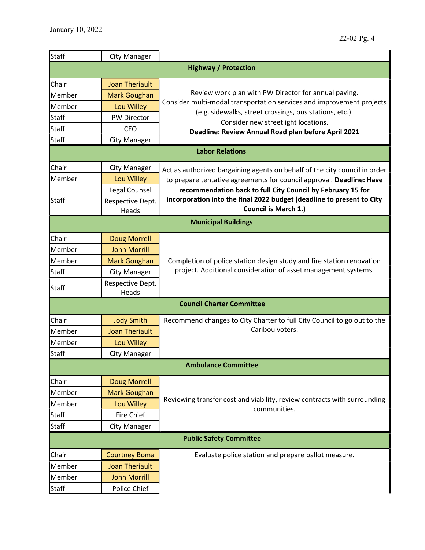| <b>Staff</b>                   | <b>City Manager</b>       |                                                                                                      |  |  |  |
|--------------------------------|---------------------------|------------------------------------------------------------------------------------------------------|--|--|--|
| <b>Highway / Protection</b>    |                           |                                                                                                      |  |  |  |
| Chair                          | <b>Joan Theriault</b>     |                                                                                                      |  |  |  |
| Member                         | <b>Mark Goughan</b>       | Review work plan with PW Director for annual paving.                                                 |  |  |  |
| Member                         | Lou Willey                | Consider multi-modal transportation services and improvement projects                                |  |  |  |
| <b>Staff</b>                   | PW Director               | (e.g. sidewalks, street crossings, bus stations, etc.).                                              |  |  |  |
| <b>Staff</b>                   | <b>CEO</b>                | Consider new streetlight locations.<br>Deadline: Review Annual Road plan before April 2021           |  |  |  |
| <b>Staff</b>                   | <b>City Manager</b>       |                                                                                                      |  |  |  |
|                                |                           | <b>Labor Relations</b>                                                                               |  |  |  |
| Chair                          | <b>City Manager</b>       | Act as authorized bargaining agents on behalf of the city council in order                           |  |  |  |
| Member                         | Lou Willey                | to prepare tentative agreements for council approval. Deadline: Have                                 |  |  |  |
|                                | Legal Counsel             | recommendation back to full City Council by February 15 for                                          |  |  |  |
| <b>Staff</b>                   | Respective Dept.<br>Heads | incorporation into the final 2022 budget (deadline to present to City<br><b>Council is March 1.)</b> |  |  |  |
|                                |                           | <b>Municipal Buildings</b>                                                                           |  |  |  |
| Chair                          | Doug Morrell              |                                                                                                      |  |  |  |
| Member                         | <b>John Morrill</b>       |                                                                                                      |  |  |  |
| Member                         | <b>Mark Goughan</b>       | Completion of police station design study and fire station renovation                                |  |  |  |
| <b>Staff</b>                   | <b>City Manager</b>       | project. Additional consideration of asset management systems.                                       |  |  |  |
| <b>Staff</b>                   | Respective Dept.<br>Heads |                                                                                                      |  |  |  |
|                                |                           | <b>Council Charter Committee</b>                                                                     |  |  |  |
| Chair                          | <b>Jody Smith</b>         | Recommend changes to City Charter to full City Council to go out to the                              |  |  |  |
| Member                         | <b>Joan Theriault</b>     | Caribou voters.                                                                                      |  |  |  |
| Member                         | Lou Willey                |                                                                                                      |  |  |  |
| <b>Staff</b>                   | <b>City Manager</b>       |                                                                                                      |  |  |  |
| <b>Ambulance Committee</b>     |                           |                                                                                                      |  |  |  |
| Chair                          | <b>Doug Morrell</b>       |                                                                                                      |  |  |  |
| Member                         | <b>Mark Goughan</b>       |                                                                                                      |  |  |  |
| Member                         | Lou Willey                | Reviewing transfer cost and viability, review contracts with surrounding<br>communities.             |  |  |  |
| <b>Staff</b>                   | <b>Fire Chief</b>         |                                                                                                      |  |  |  |
| <b>Staff</b>                   | <b>City Manager</b>       |                                                                                                      |  |  |  |
| <b>Public Safety Committee</b> |                           |                                                                                                      |  |  |  |
| Chair                          | <b>Courtney Boma</b>      | Evaluate police station and prepare ballot measure.                                                  |  |  |  |
| Member                         | <b>Joan Theriault</b>     |                                                                                                      |  |  |  |
| Member                         | <b>John Morrill</b>       |                                                                                                      |  |  |  |
| Staff                          | Police Chief              |                                                                                                      |  |  |  |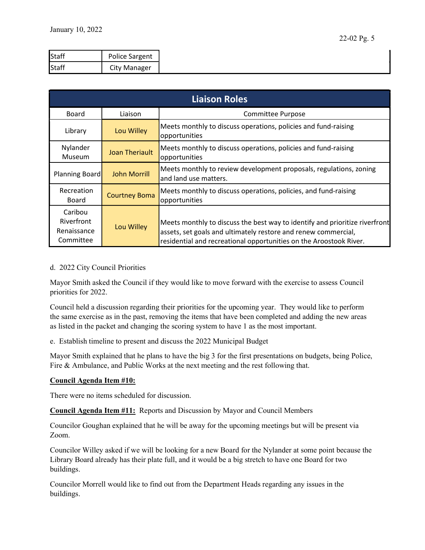| Staff        | Police Sargent      |
|--------------|---------------------|
| <b>Staff</b> | <b>City Manager</b> |

| <b>Liaison Roles</b>                              |                       |                                                                                                                                                                                                                     |
|---------------------------------------------------|-----------------------|---------------------------------------------------------------------------------------------------------------------------------------------------------------------------------------------------------------------|
| Board                                             | Liaison               | Committee Purpose                                                                                                                                                                                                   |
| Library                                           | Lou Willey            | Meets monthly to discuss operations, policies and fund-raising<br>opportunities                                                                                                                                     |
| Nylander<br>Museum                                | <b>Joan Theriault</b> | Meets monthly to discuss operations, policies and fund-raising<br>opportunities                                                                                                                                     |
| Planning Board                                    | <b>John Morrill</b>   | Meets monthly to review development proposals, regulations, zoning<br>and land use matters.                                                                                                                         |
| Recreation<br>Board                               | <b>Courtney Boma</b>  | Meets monthly to discuss operations, policies, and fund-raising<br>opportunities                                                                                                                                    |
| Caribou<br>Riverfront<br>Renaissance<br>Committee | Lou Willey            | Meets monthly to discuss the best way to identify and prioritize riverfront<br>assets, set goals and ultimately restore and renew commercial,<br>residential and recreational opportunities on the Aroostook River. |

### d. 2022 City Council Priorities

Mayor Smith asked the Council if they would like to move forward with the exercise to assess Council priorities for 2022.

Council held a discussion regarding their priorities for the upcoming year. They would like to perform the same exercise as in the past, removing the items that have been completed and adding the new areas as listed in the packet and changing the scoring system to have 1 as the most important.

e. Establish timeline to present and discuss the 2022 Municipal Budget

Mayor Smith explained that he plans to have the big 3 for the first presentations on budgets, being Police, Fire & Ambulance, and Public Works at the next meeting and the rest following that.

### Council Agenda Item #10:

There were no items scheduled for discussion.

Council Agenda Item #11: Reports and Discussion by Mayor and Council Members

Councilor Goughan explained that he will be away for the upcoming meetings but will be present via Zoom.

Councilor Willey asked if we will be looking for a new Board for the Nylander at some point because the Library Board already has their plate full, and it would be a big stretch to have one Board for two buildings.

Councilor Morrell would like to find out from the Department Heads regarding any issues in the buildings.